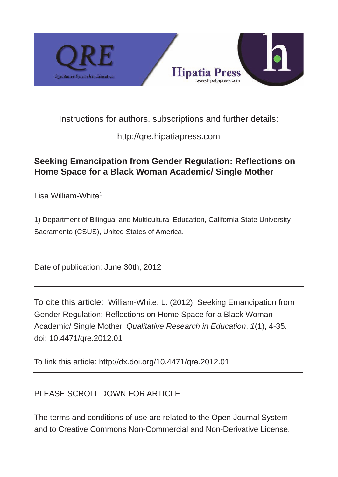

Instructions for authors, subscriptions and further details:

http://qre.hipatiapress.com

# **Seeking Emancipation from Gender Regulation: Reflections on Home Space for a Black Woman Academic/ Single Mother**

Lisa William-White<sup>1</sup>

1) Department of Bilingual and Multicultural Education, California State University Sacramento (CSUS), United States of America.

Date of publication: June 30th, 2012

To cite this article: William-White, L. (2012). Seeking Emancipation from Gender Regulation: Reflections on Home Space for a Black Woman Academic/ Single Mother. *Qualitative Research in Education*, *1*(1), 435. doi: 10.4471/qre.2012.01

To link this article:<http://dx.doi.org/10.4471/qre.2012.01>

# PLEASE SCROLL DOWN FOR ARTICLE

The terms and conditions of use are related to the Open Journal System and to Creative Commons Non-Commercial and Non-Derivative License.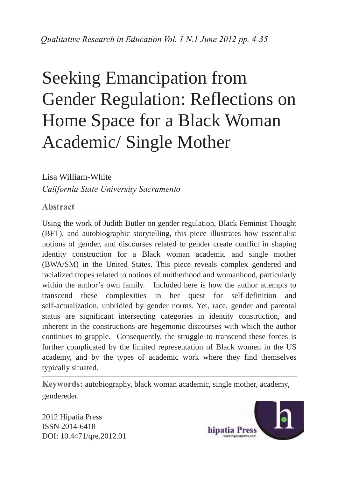# Seeking Emancipation from Gender Regulation: Reflections on Home Space for a Black Woman Academic/ Single Mother

Lisa William-White California State University Sacramento

Abstract

Using the work of Judith Butler on gender regulation, Black Feminist Thought (BFT), and autobiographic storytelling, this piece illustrates how essentialist notions of gender, and discourses related to gender create conflict in shaping identity construction for a Black woman academic and single mother (BWA/SM) in the United States. This piece reveals complex gendered and racialized tropes related to notions of motherhood and womanhood, particularly within the author's own family. Included here is how the author attempts to transcend these complexities in her quest for self-definition and self-actualization, unbridled by gender norms. Yet, race, gender and parental status are significant intersecting categories in identity construction, and inherent in the constructions are hegemonic discourses with which the author continues to grapple. Consequently, the struggle to transcend these forces is further complicated by the limited representation of Black women in the US academy, and by the types of academic work where they find themselves typically situated.

Keywords: autobiography, black woman academic, single mother, academy, gendereder.

2012 Hipatia Press ISSN 2014-6418 DOI: 10.4471/qre.2012.01

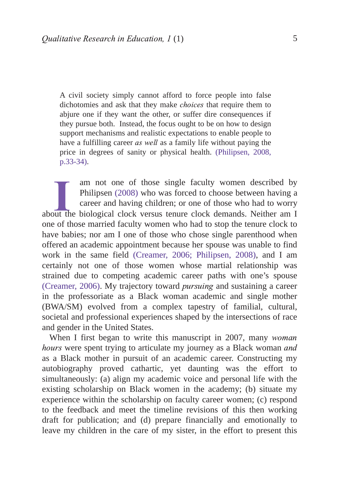A civil society simply cannot afford to force people into false dichotomies and ask that they make *choices* that require them to abjure one if they want the other, or suffer dire consequences if they pursue both. Instead, the focus ought to be on how to design support mechanisms and realistic expectations to enable people to have a fulfilling career *as well* as a family life without paying the price in degrees of sanity or physical health. [\(Philipsen, 2008,](#page-30-0) p.33-34).

am not one of those single faculty women described by Philipsen (2008) who was forced to choose between having a career and having children; or one of those who had to worry about the biological clock versus tenure clock d one of those married faculty women who had to stop the tenure clock to have babies; nor am I one of those who chose single parenthood when offered an academic appointment because her spouse was unable to find work in the same field [\(Creamer, 2006;](#page-28-0) [Philipsen, 2008\)](#page-30-3), and I am certainly not one of those women whose martial relationship was strained due to competing academic career paths with one's spouse (Creamer,  $2006$ ). My trajectory toward *pursuing* and sustaining a career in the professoriate as a Black woman academic and single mother (BWA/SM) evolved from a complex tapestry of familial, cultural, societal and professional experiences shaped by the intersections of race and gender in the United States. am not one of those single faculty women described by Philipsen [\(2008\)](#page-30-2) who was forced to choose between having a career and having children; or one of those who had to worry

When I first began to write this manuscript in 2007, many woman hours were spent trying to articulate my journey as a Black woman and as a Black mother in pursuit of an academic career. Constructing my autobiography proved cathartic, yet daunting was the effort to simultaneously: (a) align my academic voice and personal life with the existing scholarship on Black women in the academy; (b) situate my experience within the scholarship on faculty career women; (c) respond to the feedback and meet the timeline revisions of this then working draft for publication; and (d) prepare financially and emotionally to leave my children in the care of my sister, in the effort to present this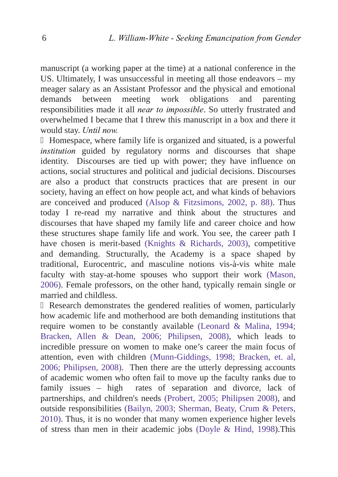manuscript (a working paper at the time) at a national conference in the US. Ultimately, I was unsuccessful in meeting all those endeavors – my meager salary as an Assistant Professor and the physical and emotional demands between meeting work obligations and parenting responsibilities made it all *near to impossible*. So utterly frustrated and overwhelmed I became that I threw this manuscript in a box and there it would stay. Until now.

Homespace, where family life is organized and situated, is a powerful institution guided by regulatory norms and discourses that shape identity. Discourses are tied up with power; they have influence on actions, social structures and political and judicial decisions. Discourses are also a product that constructs practices that are present in our society, having an effect on how people act, and what kinds of behaviors are conceived and produced [\(Alsop & Fitzsimons, 2002, p. 88\)](#page-27-0). Thus today I re-read my narrative and think about the structures and discourses that have shaped my family life and career choice and how these structures shape family life and work. You see, the career path I have chosen is merit-based [\(Knights & Richards, 2003\),](#page-30-4) competitive and demanding. Structurally, the Academy is a space shaped by traditional, Eurocentric, and masculine notions vis-à-vis white male faculty with stay-at-home spouses who support their work [\(Mason,](#page-30-5) [2006\)](#page-30-6). Female professors, on the other hand, typically remain single or married and childless.

Research demonstrates the gendered realities of women, particularly how academic life and motherhood are both demanding institutions that require women to be constantly available ([Leonard & Malina, 1994;](#page-30-7) [Bracken, Allen & Dean, 2006](#page-27-1); [Philipsen, 2008\)](#page-31-0), which leads to incredible pressure on women to make one's career the main focus of attention, even with children (Munn-Giddings, 1998; [Bracken, et. al,](#page-27-2) [2006;](#page-27-3) [Philipsen, 2008\)](#page-30-9). Then there are the utterly depressing accounts of academic women who often fail to move up the faculty ranks due to family issues – high rates of separation and divorce, lack of partnerships, and children's needs [\(Probert, 2005;](#page-31-1) [Philipsen 2008\)](#page-30-10), and outside responsibilities ([Bailyn, 2003](#page-27-0); [Sherman, Beaty, Crum & Peters,](#page-31-2) [2010\)](#page-31-3). Thus, it is no wonder that many women experience higher levels of stress than men in their academic jobs [\(Doyle & Hind, 1998\)](#page-28-2).This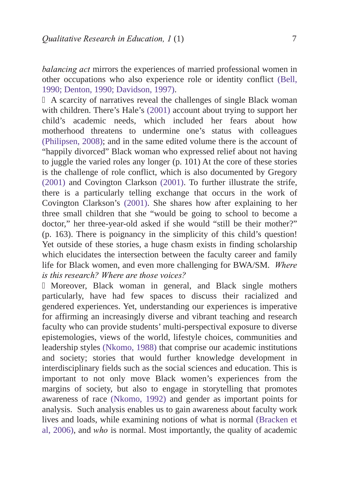balancing act mirrors the experiences of married professional women in other occupations who also experience role or identity conflict [\(Bell,](#page-27-0) [1990](#page-27-0); [Denton, 1990; Davidson, 1997\)](#page-28-3).

A scarcity of narratives reveal the challenges of single Black woman with children. There's Hale's [\(2001\)](#page-29-1) account about trying to support her child's academic needs, which included her fears about how motherhood threatens to undermine one's status with colleagues ([Philipsen, 2008\)](#page-30-11); and in the same edited volume there is the account of "happily divorced" Black woman who expressed relief about not having to juggle the varied roles any longer (p. 101) At the core of these stories is the challenge of role conflict, which is also documented by Gregory [\(2001\)](#page-29-0) and Covington Clarkson [\(2001\).](#page-28-1) To further illustrate the strife, there is a particularly telling exchange that occurs in the work of Covington Clarkson's [\(2001\).](#page-28-4) She shares how after explaining to her three small children that she "would be going to school to become a doctor," her three-year-old asked if she would "still be their mother?" (p. 163). There is poignancy in the simplicity of this child's question! Yet outside of these stories, a huge chasm exists in finding scholarship which elucidates the intersection between the faculty career and family life for Black women, and even more challenging for BWA/SM. Where is this research? Where are those voices?

Moreover, Black woman in general, and Black single mothers particularly, have had few spaces to discuss their racialized and gendered experiences. Yet, understanding our experiences is imperative for affirming an increasingly diverse and vibrant teaching and research faculty who can provide students' multi-perspectival exposure to diverse epistemologies, views of the world, lifestyle choices, communities and leadership styles [\(Nkomo, 1988\)](#page-30-13) that comprise our academic institutions and society; stories that would further knowledge development in interdisciplinary fields such as the social sciences and education. This is important to not only move Black women's experiences from the margins of society, but also to engage in storytelling that promotes awareness of race [\(Nkomo, 1992\)](#page-30-12) and gender as important points for analysis. Such analysis enables us to gain awareness about faculty work lives and loads, while examining notions of what is normal [\(Bracken et](#page-27-4) al,  $2006$ ), and  $who$  is normal. Most importantly, the quality of academic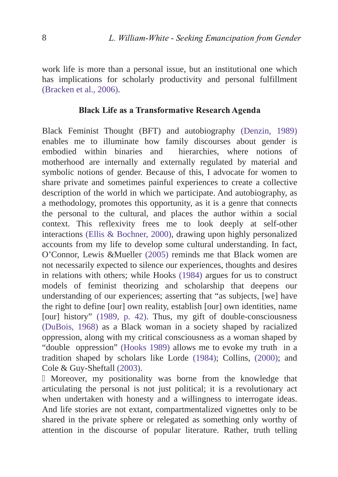work life is more than a personal issue, but an institutional one which has implications for scholarly productivity and personal fulfillment [\(Bracken et al., 2006\).](#page-27-5)

#### Black Life as a Transformative Research Agenda

Black Feminist Thought (BFT) and autobiography [\(Denzin, 1989\)](#page-28-5) enables me to illuminate how family discourses about gender is embodied within binaries and hierarchies, where notions of motherhood are internally and externally regulated by material and symbolic notions of gender. Because of this, I advocate for women to share private and sometimes painful experiences to create a collective description of the world in which we participate. And autobiography, as a methodology, promotes this opportunity, as it is a genre that connects the personal to the cultural, and places the author within a social context. This reflexivity frees me to look deeply at self-other interactions [\(Ellis & Bochner, 2000\),](#page-28-6) drawing upon highly personalized accounts from my life to develop some cultural understanding. In fact, O'Connor, Lewis &Mueller [\(2005\)](#page-31-4) reminds me that Black women are not necessarily expected to silence our experiences, thoughts and desires in relations with others; while Hooks [\(1984\)](#page-29-2) argues for us to construct models of feminist theorizing and scholarship that deepens our understanding of our experiences; asserting that "as subjects, [we] have the right to define [our] own reality, establish [our] own identities, name [our] history" [\(1989, p. 42\).](#page-29-3) Thus, my gift of double-consciousness [\(DuBois, 1968\)](#page-28-7) as a Black woman in a society shaped by racialized oppression, along with my critical consciousness as a woman shaped by "double oppression" [\(Hooks 1989\)](#page-29-4) allows me to evoke my truth in a tradition shaped by scholars like Lorde [\(1984\);](#page-30-14) Collins, [\(2000\);](#page-27-6) and Cole & Guy-Sheftall [\(2003\)](#page-27-7).

Moreover, my positionality was borne from the knowledge that articulating the personal is not just political; it is a revolutionary act when undertaken with honesty and a willingness to interrogate ideas. And life stories are not extant, compartmentalized vignettes only to be shared in the private sphere or relegated as something only worthy of attention in the discourse of popular literature. Rather, truth telling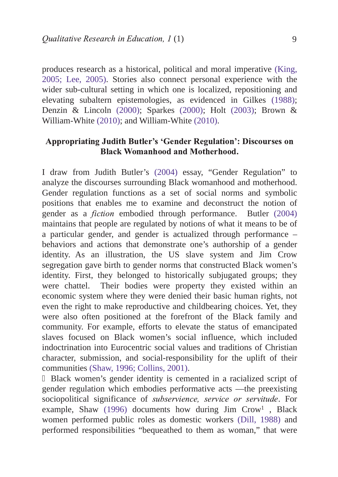produces research as a historical, political and moral imperative [\(King,](#page-30-15) [2005; Lee, 2005\)](#page-30-16). Stories also connect personal experience with the wider sub-cultural setting in which one is localized, repositioning and elevating subaltern epistemologies, as evidenced in Gilkes [\(1988\);](#page-29-5) Denzin & Lincoln [\(2000\);](#page-28-8) Sparkes [\(2000\);](#page-31-5) Holt [\(2003\)](#page-29-6); Brown & William-White [\(2010\);](#page-27-8) and William-White [\(2010\).](#page-31-6)

### Appropriating Judith Butler's 'Gender Regulation': Discourses on **Black Womanhood and Motherhood.**

I draw from Judith Butler's [\(2004\)](#page-27-9) essay, "Gender Regulation" to analyze the discourses surrounding Black womanhood and motherhood. Gender regulation functions as a set of social norms and symbolic positions that enables me to examine and deconstruct the notion of gender as a *fiction* embodied through performance. Butler [\(2004\)](#page-27-10) maintains that people are regulated by notions of what it means to be of a particular gender, and gender is actualized through performance – behaviors and actions that demonstrate one's authorship of a gender identity. As an illustration, the US slave system and Jim Crow segregation gave birth to gender norms that constructed Black women's identity. First, they belonged to historically subjugated groups; they were chattel. Their bodies were property they existed within an economic system where they were denied their basic human rights, not even the right to make reproductive and childbearing choices. Yet, they were also often positioned at the forefront of the Black family and community. For example, efforts to elevate the status of emancipated slaves focused on Black women's social influence, which included indoctrination into Eurocentric social values and traditions of Christian character, submission, and social-responsibility for the uplift of their communities [\(Shaw, 1996;](#page-31-7) [Collins, 2001\)](#page-27-11).

Black women's gender identity is cemented in a racialized script of gender regulation which embodies performative acts —the preexisting sociopolitical significance of subservience, service or servitude. For example, Shaw [\(1996\)](#page-31-8) documents how during Jim Crow<sup>1</sup>, Black women performed public roles as domestic workers [\(Dill, 1988\)](#page-28-9) and performed responsibilities "bequeathed to them as woman," that were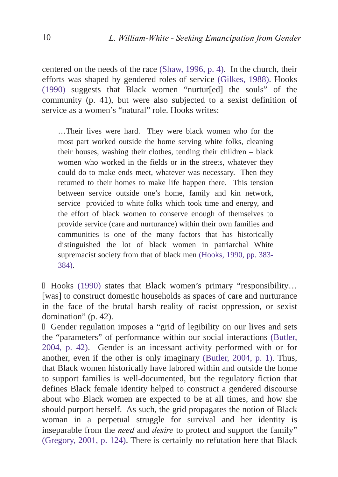centered on the needs of the race [\(Shaw, 1996, p. 4\).](#page-31-9) In the church, their efforts was shaped by gendered roles of service [\(Gilkes, 1988\).](#page-29-7) Hooks [\(1990\)](#page-29-8) suggests that Black women "nurtur[ed] the souls" of the community (p. 41), but were also subjected to a sexist definition of service as a women's "natural" role. Hooks writes:

…Their lives were hard. They were black women who for the most part worked outside the home serving white folks, cleaning their houses, washing their clothes, tending their children – black women who worked in the fields or in the streets, whatever they could do to make ends meet, whatever was necessary. Then they returned to their homes to make life happen there. This tension between service outside one's home, family and kin network, service provided to white folks which took time and energy, and the effort of black women to conserve enough of themselves to provide service (care and nurturance) within their own families and communities is one of the many factors that has historically distinguished the lot of black women in patriarchal White supremacist society from that of black men [\(Hooks, 1990, pp. 383](#page-29-9)-384).

Hooks [\(1990\)](#page-29-10) states that Black women's primary "responsibility… [was] to construct domestic households as spaces of care and nurturance in the face of the brutal harsh reality of racist oppression, or sexist domination" (p. 42).

Gender regulation imposes a "grid of legibility on our lives and sets the "parameters" of performance within our social interactions [\(Butler,](#page-27-13) [2004, p. 42\).](#page-27-14) Gender is an incessant activity performed with or for another, even if the other is only imaginary [\(Butler, 2004, p. 1\).](#page-27-12) Thus, that Black women historically have labored within and outside the home to support families is well-documented, but the regulatory fiction that defines Black female identity helped to construct a gendered discourse about who Black women are expected to be at all times, and how she should purport herself. As such, the grid propagates the notion of Black woman in a perpetual struggle for survival and her identity is inseparable from the *need* and *desire* to protect and support the family" [\(Gregory, 2001, p. 124\)](#page-29-11). There is certainly no refutation here that Black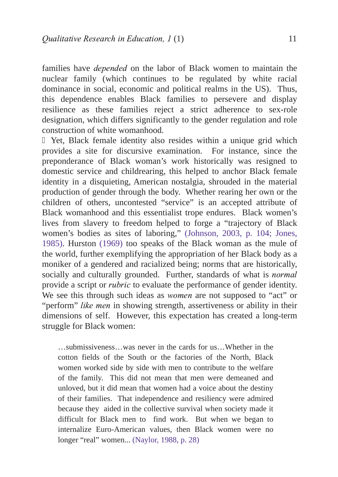families have *depended* on the labor of Black women to maintain the nuclear family (which continues to be regulated by white racial dominance in social, economic and political realms in the US). Thus, this dependence enables Black families to persevere and display resilience as these families reject a strict adherence to sex-role designation, which differs significantly to the gender regulation and role construction of white womanhood.

Yet, Black female identity also resides within a unique grid which provides a site for discursive examination. For instance, since the preponderance of Black woman's work historically was resigned to domestic service and childrearing, this helped to anchor Black female identity in a disquieting, American nostalgia, shrouded in the material production of gender through the body. Whether rearing her own or the children of others, uncontested "service" is an accepted attribute of Black womanhood and this essentialist trope endures. Black women's lives from slavery to freedom helped to forge a "trajectory of Black women's bodies as sites of laboring," [\(Johnson, 2003, p. 104](#page-30-17); [Jones,](#page-30-20) [1985\)](#page-30-18). Hurston [\(1969\)](#page-29-12) too speaks of the Black woman as the mule of the world, further exemplifying the appropriation of her Black body as a moniker of a gendered and racialized being; norms that are historically, socially and culturally grounded. Further, standards of what is *normal* provide a script or *rubric* to evaluate the performance of gender identity. We see this through such ideas as *women* are not supposed to "act" or "perform" like men in showing strength, assertiveness or ability in their dimensions of self. However, this expectation has created a long-term struggle for Black women:

…submissiveness…was never in the cards for us…Whether in the cotton fields of the South or the factories of the North, Black women worked side by side with men to contribute to the welfare of the family. This did not mean that men were demeaned and unloved, but it did mean that women had a voice about the destiny of their families. That independence and resiliency were admired because they aided in the collective survival when society made it difficult for Black men to find work. But when we began to internalize Euro-American values, then Black women were no longer "real" women... [\(Naylor, 1988, p. 28\)](#page-30-19)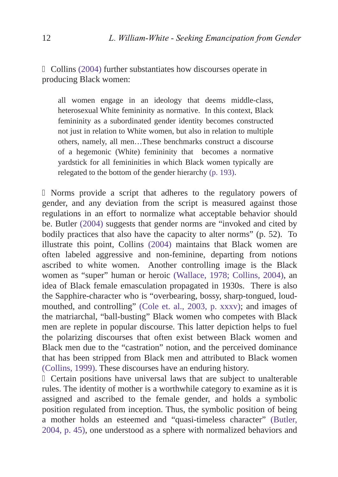Collins [\(2004\)](#page-27-15) further substantiates how discourses operate in producing Black women:

all women engage in an ideology that deems middle-class, heterosexual White femininity as normative. In this context, Black femininity as a subordinated gender identity becomes constructed not just in relation to White women, but also in relation to multiple others, namely, all men…These benchmarks construct a discourse of a hegemonic (White) femininity that becomes a normative yardstick for all femininities in which Black women typically are relegated to the bottom of the gender hierarchy [\(p. 193\)](#page-27-11).

Norms provide a script that adheres to the regulatory powers of gender, and any deviation from the script is measured against those regulations in an effort to normalize what acceptable behavior should be. Butler [\(2004\)](#page-27-16) suggests that gender norms are "invoked and cited by bodily practices that also have the capacity to alter norms" (p. 52). To illustrate this point, Collins [\(2004\)](#page-27-17) maintains that Black women are often labeled aggressive and non-feminine, departing from notions ascribed to white women. Another controlling image is the Black women as "super" human or heroic [\(Wallace, 1978;](#page-31-10) [Collins, 2004\),](#page-27-6) an idea of Black female emasculation propagated in 1930s. There is also the Sapphire-character who is "overbearing, bossy, sharp-tongued, loudmouthed, and controlling" [\(Cole et. al., 2003, p. xxxv\);](#page-27-19) and images of the matriarchal, "ball-busting" Black women who competes with Black men are replete in popular discourse. This latter depiction helps to fuel the polarizing discourses that often exist between Black women and Black men due to the "castration" notion, and the perceived dominance that has been stripped from Black men and attributed to Black women [\(Collins, 1999\).](#page-27-18) These discourses have an enduring history.

Certain positions have universal laws that are subject to unalterable rules. The identity of mother is a worthwhile category to examine as it is assigned and ascribed to the female gender, and holds a symbolic position regulated from inception. Thus, the symbolic position of being a mother holds an esteemed and "quasi-timeless character" [\(Butler,](#page-27-20) [2004, p. 45\)](#page-27-21), one understood as a sphere with normalized behaviors and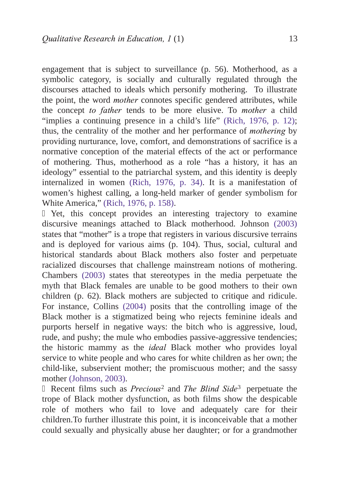engagement that is subject to surveillance (p. 56). Motherhood, as a symbolic category, is socially and culturally regulated through the discourses attached to ideals which personify mothering. To illustrate the point, the word *mother* connotes specific gendered attributes, while the concept to father tends to be more elusive. To mother a child "implies a continuing presence in a child's life" [\(Rich, 1976, p. 12\);](#page-31-11) thus, the centrality of the mother and her performance of *mothering* by providing nurturance, love, comfort, and demonstrations of sacrifice is a normative conception of the material effects of the act or performance of mothering. Thus, motherhood as a role "has a history, it has an ideology" essential to the patriarchal system, and this identity is deeply internalized in women [\(Rich, 1976, p. 34\).](#page-31-12) It is a manifestation of women's highest calling, a long-held marker of gender symbolism for White America," [\(Rich, 1976, p. 158\).](#page-31-11)

Yet, this concept provides an interesting trajectory to examine discursive meanings attached to Black motherhood. Johnson [\(2003\)](#page-29-13) states that "mother" is a trope that registers in various discursive terrains and is deployed for various aims (p. 104). Thus, social, cultural and historical standards about Black mothers also foster and perpetuate racialized discourses that challenge mainstream notions of mothering. Chambers [\(2003\)](#page-27-22) states that stereotypes in the media perpetuate the myth that Black females are unable to be good mothers to their own children (p. 62). Black mothers are subjected to critique and ridicule. For instance, Collins [\(2004\)](#page-27-23) posits that the controlling image of the Black mother is a stigmatized being who rejects feminine ideals and purports herself in negative ways: the bitch who is aggressive, loud, rude, and pushy; the mule who embodies passive-aggressive tendencies; the historic mammy as the *ideal* Black mother who provides loyal service to white people and who cares for white children as her own; the child-like, subservient mother; the promiscuous mother; and the sassy mother [\(Johnson, 2003\).](#page-29-14)

Recent films such as  $Precision<sup>2</sup>$  $Precision<sup>2</sup>$  $Precision<sup>2</sup>$  and The Blind Side<sup>3</sup> perpetuate the trope of Black mother dysfunction, as both films show the despicable role of mothers who fail to love and adequately care for their children.To further illustrate this point, it is inconceivable that a mother could sexually and physically abuse her daughter; or for a grandmother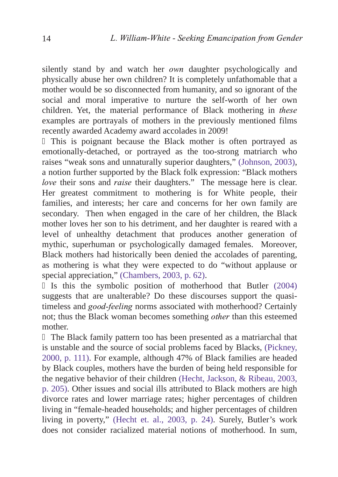silently stand by and watch her *own* daughter psychologically and physically abuse her own children? It is completely unfathomable that a mother would be so disconnected from humanity, and so ignorant of the social and moral imperative to nurture the self-worth of her own children. Yet, the material performance of Black mothering in  $these$ examples are portrayals of mothers in the previously mentioned films recently awarded Academy award accolades in 2009!

This is poignant because the Black mother is often portrayed as emotionally-detached, or portrayed as the too-strong matriarch who raises "weak sons and unnaturally superior daughters," [\(Johnson, 2003\)](#page-29-15), a notion further supported by the Black folk expression: "Black mothers love their sons and raise their daughters." The message here is clear. Her greatest commitment to mothering is for White people, their families, and interests; her care and concerns for her own family are secondary. Then when engaged in the care of her children, the Black mother loves her son to his detriment, and her daughter is reared with a level of unhealthy detachment that produces another generation of mythic, superhuman or psychologically damaged females. Moreover, Black mothers had historically been denied the accolades of parenting, as mothering is what they were expected to do "without applause or special appreciation," [\(Chambers, 2003, p. 62\).](#page-27-25)

Is this the symbolic position of motherhood that Butler [\(2004\)](#page-27-24) suggests that are unalterable? Do these discourses support the quasitimeless and good-feeling norms associated with motherhood? Certainly not; thus the Black woman becomes something *other* than this esteemed mother.

The Black family pattern too has been presented as a matriarchal that is unstable and the source of social problems faced by Blacks, [\(Pickney,](#page-30-21) [2000, p. 111\)](#page-30-22). For example, although 47% of Black families are headed by Black couples, mothers have the burden of being held responsible for the negative behavior of their children [\(Hecht, Jackson, & Ribeau, 2003,](#page-29-16) p. 205). Other issues and social ills attributed to Black mothers are high divorce rates and lower marriage rates; higher percentages of children living in "female-headed households; and higher percentages of children living in poverty," [\(Hecht et. al., 2003, p. 24\).](#page-29-17) Surely, Butler's work does not consider racialized material notions of motherhood. In sum,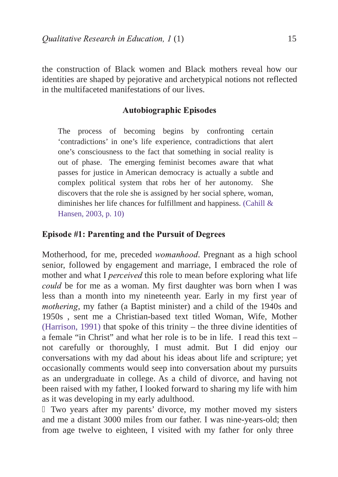the construction of Black women and Black mothers reveal how our identities are shaped by pejorative and archetypical notions not reflected in the multifaceted manifestations of our lives.

## Autobiographic Episodes

The process of becoming begins by confronting certain 'contradictions' in one's life experience, contradictions that alert one's consciousness to the fact that something in social reality is out of phase. The emerging feminist becomes aware that what passes for justice in American democracy is actually a subtle and complex political system that robs her of her autonomy. She discovers that the role she is assigned by her social sphere, woman, diminishes her life chances for fulfillment and happiness. [\(Cahill &](#page-27-26) [Hansen, 2003, p. 10\)](#page-27-27)

## Episode #1: Parenting and the Pursuit of Degrees

Motherhood, for me, preceded *womanhood*. Pregnant as a high school senior, followed by engagement and marriage, I embraced the role of mother and what I *perceived* this role to mean before exploring what life could be for me as a woman. My first daughter was born when I was less than a month into my nineteenth year. Early in my first year of mothering, my father (a Baptist minister) and a child of the 1940s and 1950s, sent me a Christian-based text titled Woman, Wife, Mother [\(Harrison, 1991\)](#page-29-18) that spoke of this trinity – the three divine identities of a female "in Christ" and what her role is to be in life. I read this text – not carefully or thoroughly, I must admit. But I did enjoy our conversations with my dad about his ideas about life and scripture; yet occasionally comments would seep into conversation about my pursuits as an undergraduate in college. As a child of divorce, and having not been raised with my father, I looked forward to sharing my life with him as it was developing in my early adulthood.

Two years after my parents' divorce, my mother moved my sisters and me a distant 3000 miles from our father. I was nine-years-old; then from age twelve to eighteen, I visited with my father for only three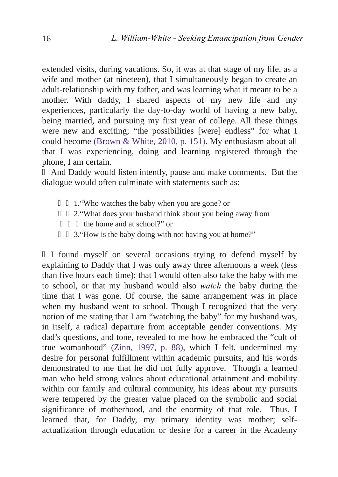extended visits, during vacations. So, it was at that stage of my life, as a wife and mother (at nineteen), that I simultaneously began to create an adult-relationship with my father, and was learning what it meant to be a mother. With daddy, I shared aspects of my new life and my experiences, particularly the day-to-day world of having a new baby, being married, and pursuing my first year of college. All these things were new and exciting; "the possibilities [were] endless" for what I could become [\(Brown & White, 2010, p. 151\)](#page-27-28). My enthusiasm about all that I was experiencing, doing and learning registered through the phone, I am certain.

And Daddy would listen intently, pause and make comments. But the dialogue would often culminate with statements such as:

- 1."Who watches the baby when you are gone? or
- 2."What does your husband think about you being away from the home and at school?" or
- 3."How is the baby doing with not having you at home?"

I found myself on several occasions trying to defend myself by explaining to Daddy that I was only away three afternoons a week (less than five hours each time); that I would often also take the baby with me to school, or that my husband would also *watch* the baby during the time that I was gone. Of course, the same arrangement was in place when my husband went to school. Though I recognized that the very notion of me stating that I am "watching the baby" for my husband was, in itself, a radical departure from acceptable gender conventions. My dad's questions, and tone, revealed to me how he embraced the "cult of true womanhood" [\(Zinn, 1997, p. 88\),](#page-31-13) which I felt, undermined my desire for personal fulfillment within academic pursuits, and his words demonstrated to me that he did not fully approve. Though a learned man who held strong values about educational attainment and mobility within our family and cultural community, his ideas about my pursuits were tempered by the greater value placed on the symbolic and social significance of motherhood, and the enormity of that role. Thus, I learned that, for Daddy, my primary identity was mother; selfactualization through education or desire for a career in the Academy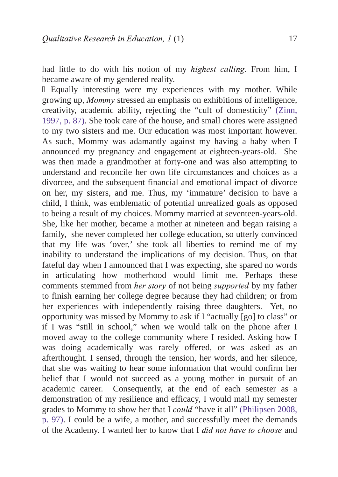had little to do with his notion of my *highest calling*. From him, I became aware of my gendered reality.

Equally interesting were my experiences with my mother. While growing up, Mommy stressed an emphasis on exhibitions of intelligence. creativity, academic ability, rejecting the "cult of domesticity" [\(Zinn,](#page-31-14) [1997, p. 87\).](#page-31-15) She took care of the house, and small chores were assigned to my two sisters and me. Our education was most important however. As such, Mommy was adamantly against my having a baby when I announced my pregnancy and engagement at eighteen-years-old. She was then made a grandmother at forty-one and was also attempting to understand and reconcile her own life circumstances and choices as a divorcee, and the subsequent financial and emotional impact of divorce on her, my sisters, and me. Thus, my 'immature' decision to have a child, I think, was emblematic of potential unrealized goals as opposed to being a result of my choices. Mommy married at seventeen-years-old. She, like her mother, became a mother at nineteen and began raising a family, she never completed her college education, so utterly convinced that my life was 'over,' she took all liberties to remind me of my inability to understand the implications of my decision. Thus, on that fateful day when I announced that I was expecting, she spared no words in articulating how motherhood would limit me. Perhaps these comments stemmed from *her story* of not being *supported* by my father to finish earning her college degree because they had children; or from her experiences with independently raising three daughters. Yet, no opportunity was missed by Mommy to ask if I "actually [go] to class" or if I was "still in school," when we would talk on the phone after I moved away to the college community where I resided. Asking how I was doing academically was rarely offered, or was asked as an afterthought. I sensed, through the tension, her words, and her silence, that she was waiting to hear some information that would confirm her belief that I would not succeed as a young mother in pursuit of an academic career. Consequently, at the end of each semester as a demonstration of my resilience and efficacy, I would mail my semester grades to Mommy to show her that I *could* "have it all" [\(Philipsen 2008,](#page-30-23) [p. 97\)](#page-30-24). I could be a wife, a mother, and successfully meet the demands of the Academy. I wanted her to know that I did not have to choose and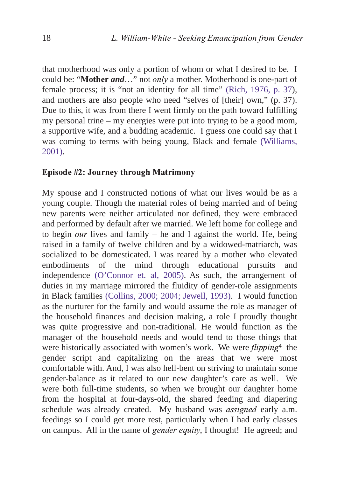that motherhood was only a portion of whom or what I desired to be. I could be: "Mother and..." not only a mother. Motherhood is one-part of female process; it is "not an identity for all time" [\(Rich, 1976, p. 37\),](#page-31-16) and mothers are also people who need "selves of [their] own," (p. 37). Due to this, it was from there I went firmly on the path toward fulfilling my personal trine – my energies were put into trying to be a good mom, a supportive wife, and a budding academic. I guess one could say that I was coming to terms with being young, Black and female [\(Williams,](#page-31-17) [2001\)](#page-31-1).

#### Episode #2: Journey through Matrimony

My spouse and I constructed notions of what our lives would be as a young couple. Though the material roles of being married and of being new parents were neither articulated nor defined, they were embraced and performed by default after we married. We left home for college and to begin *our* lives and family – he and I against the world. He, being raised in a family of twelve children and by a widowed-matriarch, was socialized to be domesticated. I was reared by a mother who elevated embodiments of the mind through educational pursuits and independence [\(O'Connor et. al, 2005\).](#page-31-18) As such, the arrangement of duties in my marriage mirrored the fluidity of gender-role assignments in Black families [\(Collins, 2000; 2004;](#page-27-29) [Jewell, 1993\)](#page-29-19). I would function as the nurturer for the family and would assume the role as manager of the household finances and decision making, a role I proudly thought was quite progressive and non-traditional. He would function as the manager of the household needs and would tend to those things that were historically associated with women's work. We were *flipping*<sup>4</sup> the gender script and capitalizing on the areas that we were most comfortable with. And, I was also hell-bent on striving to maintain some gender-balance as it related to our new daughter's care as well. We were both full-time students, so when we brought our daughter home from the hospital at four-days-old, the shared feeding and diapering schedule was already created. My husband was *assigned* early a.m. feedings so I could get more rest, particularly when I had early classes on campus. All in the name of *gender equity*, I thought! He agreed; and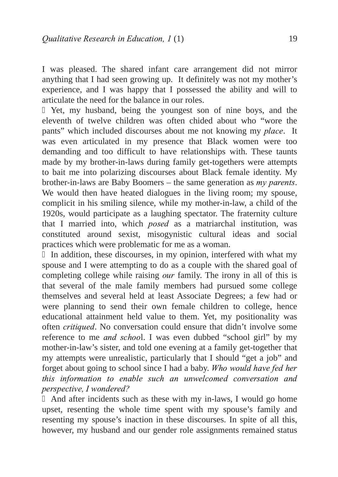I was pleased. The shared infant care arrangement did not mirror anything that I had seen growing up. It definitely was not my mother's experience, and I was happy that I possessed the ability and will to articulate the need for the balance in our roles.

Yet, my husband, being the youngest son of nine boys, and the eleventh of twelve children was often chided about who "wore the pants" which included discourses about me not knowing my place. It was even articulated in my presence that Black women were too demanding and too difficult to have relationships with. These taunts made by my brother-in-laws during family get-togethers were attempts to bait me into polarizing discourses about Black female identity. My brother-in-laws are Baby Boomers – the same generation as  $my$  parents. We would then have heated dialogues in the living room; my spouse, complicit in his smiling silence, while my mother-in-law, a child of the 1920s, would participate as a laughing spectator. The fraternity culture that I married into, which *posed* as a matriarchal institution, was constituted around sexist, misogynistic cultural ideas and social practices which were problematic for me as a woman.

In addition, these discourses, in my opinion, interfered with what my spouse and I were attempting to do as a couple with the shared goal of completing college while raising  $\omega u$  family. The irony in all of this is that several of the male family members had pursued some college themselves and several held at least Associate Degrees; a few had or were planning to send their own female children to college, hence educational attainment held value to them. Yet, my positionality was often *critiqued*. No conversation could ensure that didn't involve some reference to me *and school*. I was even dubbed "school girl" by my mother-in-law's sister, and told one evening at a family get-together that my attempts were unrealistic, particularly that I should "get a job" and forget about going to school since I had a baby. Who would have fed her this information to enable such an unwelcomed conversation and perspective, I wondered?

And after incidents such as these with my in-laws, I would go home upset, resenting the whole time spent with my spouse's family and resenting my spouse's inaction in these discourses. In spite of all this, however, my husband and our gender role assignments remained status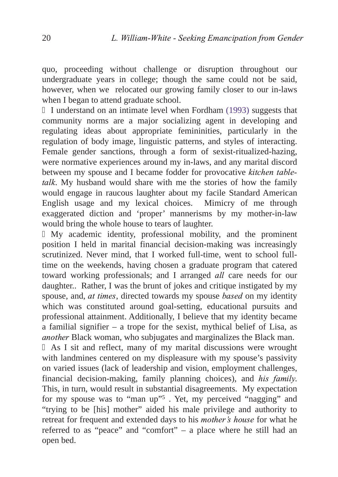quo, proceeding without challenge or disruption throughout our undergraduate years in college; though the same could not be said, however, when we relocated our growing family closer to our in-laws when I began to attend graduate school.

I understand on an intimate level when Fordham [\(1993\)](#page-29-5) suggests that community norms are a major socializing agent in developing and regulating ideas about appropriate femininities, particularly in the regulation of body image, linguistic patterns, and styles of interacting. Female gender sanctions, through a form of sexist-ritualized-hazing, were normative experiences around my in-laws, and any marital discord between my spouse and I became fodder for provocative kitchen tabletalk. My husband would share with me the stories of how the family would engage in raucous laughter about my facile Standard American English usage and my lexical choices. Mimicry of me through exaggerated diction and 'proper' mannerisms by my mother-in-law would bring the whole house to tears of laughter.

My academic identity, professional mobility, and the prominent position I held in marital financial decision-making was increasingly scrutinized. Never mind, that I worked full-time, went to school fulltime on the weekends, having chosen a graduate program that catered toward working professionals; and I arranged *all* care needs for our daughter.. Rather, I was the brunt of jokes and critique instigated by my spouse, and, *at times*, directed towards my spouse *based* on my identity which was constituted around goal-setting, educational pursuits and professional attainment. Additionally, I believe that my identity became a familial signifier – a trope for the sexist, mythical belief of Lisa, as *another* Black woman, who subjugates and marginalizes the Black man.

As I sit and reflect, many of my marital discussions were wrought with landmines centered on my displeasure with my spouse's passivity on varied issues (lack of leadership and vision, employment challenges, financial decision-making, family planning choices), and *his family*. This, in turn, would result in substantial disagreements. My expectation for my spouse was to "man u[p"5](#page-31-1) . Yet, my perceived "nagging" and "trying to be [his] mother" aided his male privilege and authority to retreat for frequent and extended days to his *mother's house* for what he referred to as "peace" and "comfort" – a place where he still had an open bed.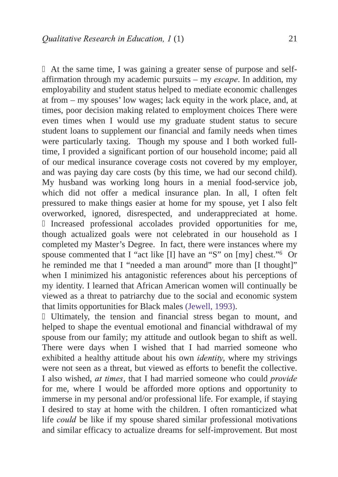At the same time, I was gaining a greater sense of purpose and selfaffirmation through my academic pursuits – my  $\emph{escape}$ . In addition, my employability and student status helped to mediate economic challenges at from – my spouses' low wages; lack equity in the work place, and, at times, poor decision making related to employment choices There were even times when I would use my graduate student status to secure student loans to supplement our financial and family needs when times were particularly taxing. Though my spouse and I both worked fulltime, I provided a significant portion of our household income; paid all of our medical insurance coverage costs not covered by my employer, and was paying day care costs (by this time, we had our second child). My husband was working long hours in a menial food-service job, which did not offer a medical insurance plan. In all, I often felt pressured to make things easier at home for my spouse, yet I also felt overworked, ignored, disrespected, and underappreciated at home.

Increased professional accolades provided opportunities for me, though actualized goals were not celebrated in our household as I completed my Master's Degree. In fact, there were instances where my spouse commented that I "act like [I] have an "S" on [my] chest[."6](#page-31-1) Or he reminded me that I "needed a man around" more than [I thought]" when I minimized his antagonistic references about his perceptions of my identity. I learned that African American women will continually be viewed as a threat to patriarchy due to the social and economic system that limits opportunities for Black males ([Jewell, 1993\)](#page-29-20).

Ultimately, the tension and financial stress began to mount, and helped to shape the eventual emotional and financial withdrawal of my spouse from our family; my attitude and outlook began to shift as well. There were days when I wished that I had married someone who exhibited a healthy attitude about his own *identity*, where my strivings were not seen as a threat, but viewed as efforts to benefit the collective. I also wished,  $at$  times, that I had married someone who could *provide* for me, where I would be afforded more options and opportunity to immerse in my personal and/or professional life. For example, if staying I desired to stay at home with the children. I often romanticized what life *could* be like if my spouse shared similar professional motivations and similar efficacy to actualize dreams for self-improvement. But most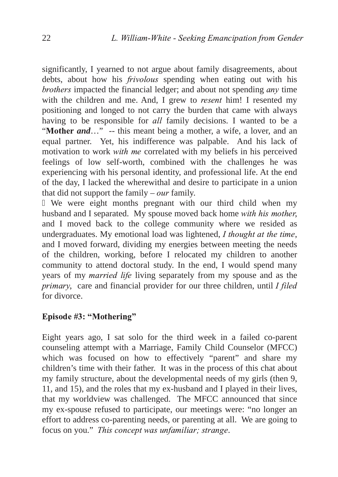significantly, I yearned to not argue about family disagreements, about debts, about how his *frivolous* spending when eating out with his  $b$ rothers impacted the financial ledger; and about not spending  $any$  time with the children and me. And, I grew to *resent* him! I resented my positioning and longed to not carry the burden that came with always having to be responsible for *all* family decisions. I wanted to be a "Mother *and*..." -- this meant being a mother, a wife, a lover, and an equal partner. Yet, his indifference was palpable. And his lack of motivation to work with me correlated with my beliefs in his perceived feelings of low self-worth, combined with the challenges he was experiencing with his personal identity, and professional life. At the end of the day, I lacked the wherewithal and desire to participate in a union that did not support the family –  $our$  family.

We were eight months pregnant with our third child when my husband and I separated. My spouse moved back home *with his mother*, and I moved back to the college community where we resided as undergraduates. My emotional load was lightened,  $I$  thought at the time, and I moved forward, dividing my energies between meeting the needs of the children, working, before I relocated my children to another community to attend doctoral study. In the end, I would spend many years of my *married life* living separately from my spouse and as the  $primary$ , care and financial provider for our three children, until I filed for divorce.

# Episode #3: "Mothering"

Eight years ago, I sat solo for the third week in a failed co-parent counseling attempt with a Marriage, Family Child Counselor (MFCC) which was focused on how to effectively "parent" and share my children's time with their father. It was in the process of this chat about my family structure, about the developmental needs of my girls (then 9, 11, and 15), and the roles that my ex-husband and I played in their lives, that my worldview was challenged. The MFCC announced that since my ex-spouse refused to participate, our meetings were: "no longer an effort to address co-parenting needs, or parenting at all. We are going to focus on you." This concept was unfamiliar; strange.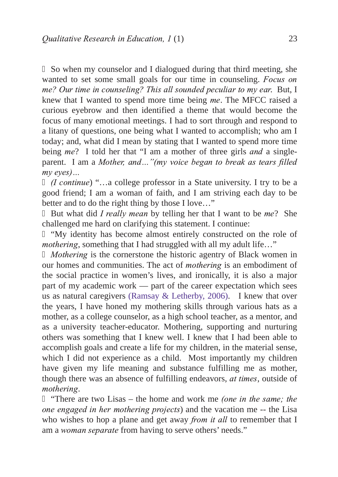So when my counselor and I dialogued during that third meeting, she wanted to set some small goals for our time in counseling. Focus on me? Our time in counseling? This all sounded peculiar to my ear. But, I knew that I wanted to spend more time being me. The MFCC raised a curious eyebrow and then identified a theme that would become the focus of many emotional meetings. I had to sort through and respond to a litany of questions, one being what I wanted to accomplish; who am I today; and, what did I mean by stating that I wanted to spend more time being  $me$ ? I told her that "I am a mother of three girls *and* a singleparent. I am a *Mother, and..."(my voice began to break as tears filled*  $mv$  eyes)...

 $(1$  continue) "...a college professor in a State university. I try to be a good friend; I am a woman of faith, and I am striving each day to be better and to do the right thing by those I love…"

But what did *I really mean* by telling her that I want to be  $me$ ? She challenged me hard on clarifying this statement. I continue:

"My identity has become almost entirely constructed on the role of mothering, something that I had struggled with all my adult life..."

Mothering is the cornerstone the historic agentry of Black women in our homes and communities. The act of *mothering* is an embodiment of the social practice in women's lives, and ironically, it is also a major part of my academic work — part of the career expectation which sees us as natural caregivers [\(Ramsay & Letherby, 2006\)](#page-31-19). I knew that over the years, I have honed my mothering skills through various hats as a mother, as a college counselor, as a high school teacher, as a mentor, and as a university teacher-educator. Mothering, supporting and nurturing others was something that I knew well. I knew that I had been able to accomplish goals and create a life for my children, in the material sense, which I did not experience as a child. Most importantly my children have given my life meaning and substance fulfilling me as mother, though there was an absence of fulfilling endeavors,  $at$  times, outside of mothering.

"There are two Lisas – the home and work me *(one in the same; the* one engaged in her mothering projects) and the vacation me -- the Lisa who wishes to hop a plane and get away *from it all* to remember that I am a *woman separate* from having to serve others' needs."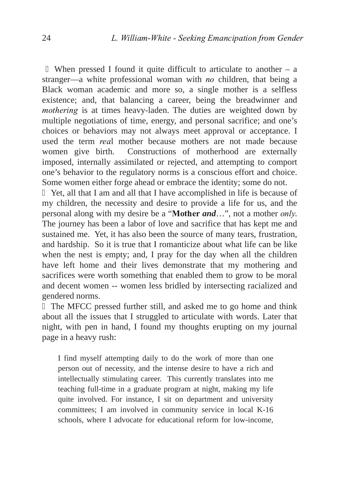When pressed I found it quite difficult to articulate to another  $-$  a stranger—a white professional woman with  $n\sigma$  children, that being a Black woman academic and more so, a single mother is a selfless existence; and, that balancing a career, being the breadwinner and mothering is at times heavy-laden. The duties are weighted down by multiple negotiations of time, energy, and personal sacrifice; and one's choices or behaviors may not always meet approval or acceptance. I used the term *real* mother because mothers are not made because<br>women give birth. Constructions of motherhood are externally Constructions of motherhood are externally imposed, internally assimilated or rejected, and attempting to comport one's behavior to the regulatory norms is a conscious effort and choice. Some women either forge ahead or embrace the identity; some do not.

Yet, all that I am and all that I have accomplished in life is because of my children, the necessity and desire to provide a life for us, and the personal along with my desire be a "**Mother** *and*...", not a mother *only*. The journey has been a labor of love and sacrifice that has kept me and sustained me. Yet, it has also been the source of many tears, frustration, and hardship. So it is true that I romanticize about what life can be like when the nest is empty; and, I pray for the day when all the children have left home and their lives demonstrate that my mothering and sacrifices were worth something that enabled them to grow to be moral and decent women -- women less bridled by intersecting racialized and gendered norms.

The MFCC pressed further still, and asked me to go home and think about all the issues that I struggled to articulate with words. Later that night, with pen in hand, I found my thoughts erupting on my journal page in a heavy rush:

I find myself attempting daily to do the work of more than one person out of necessity, and the intense desire to have a rich and intellectually stimulating career. This currently translates into me teaching full-time in a graduate program at night, making my life quite involved. For instance, I sit on department and university committees; I am involved in community service in local K-16 schools, where I advocate for educational reform for low-income,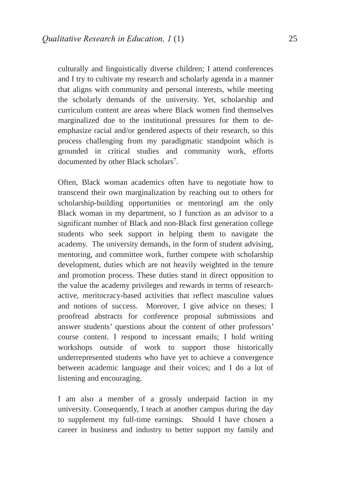culturally and linguistically diverse children; I attend conferences and I try to cultivate my research and scholarly agenda in a manner that aligns with community and personal interests, while meeting the scholarly demands of the university. Yet, scholarship and curriculum content are areas where Black women find themselves marginalized due to the institutional pressures for them to deemphasize racial and/or gendered aspects of their research, so this process challenging from my paradigmatic standpoint which is grounded in critical studies and community work, efforts documented by other Black scholars<sup>7</sup>.

Often, Black woman academics often have to negotiate how to transcend their own marginalization by reaching out to others for scholarship-building opportunities or mentoringI am the only Black woman in my department, so I function as an advisor to a significant number of Black and non-Black first generation college students who seek support in helping them to navigate the academy. The university demands, in the form of student advising, mentoring, and committee work, further compete with scholarship development, duties which are not heavily weighted in the tenure and promotion process. These duties stand in direct opposition to the value the academy privileges and rewards in terms of researchactive, meritocracy-based activities that reflect masculine values and notions of success. Moreover, I give advice on theses; I proofread abstracts for conference proposal submissions and answer students' questions about the content of other professors' course content. I respond to incessant emails; I hold writing workshops outside of work to support those historically underrepresented students who have yet to achieve a convergence between academic language and their voices; and I do a lot of listening and encouraging.

I am also a member of a grossly underpaid faction in my university. Consequently, I teach at another campus during the day to supplement my full-time earnings. Should I have chosen a career in business and industry to better support my family and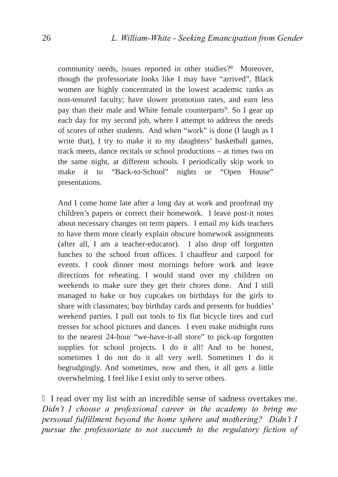community needs, issues reported in other studies?<sup>8</sup> Moreover, though the professoriate looks like I may have "arrived", Black women are highly concentrated in the lowest academic ranks as non-tenured faculty; have slower promotion rates, and earn less pay than their male and White female counterparts<sup>9</sup>. So I gear up each day for my second job, where I attempt to address the needs of scores of other students. And when "work" is done (I laugh as I write that), I try to make it to my daughters' basketball games, track meets, dance recitals or school productions – at times two on the same night, at different schools. I periodically skip work to make it to "Back-to-School" nights or "Open House" presentations.

And I come home late after a long day at work and proofread my children's papers or correct their homework. I leave post-it notes about necessary changes on term papers. I email my kids teachers to have them more clearly explain obscure homework assignments (after all, I am a teacher-educator). I also drop off forgotten lunches to the school front offices. I chauffeur and carpool for events. I cook dinner most mornings before work and leave directions for reheating. I would stand over my children on weekends to make sure they get their chores done. And I still managed to bake or buy cupcakes on birthdays for the girls to share with classmates; buy birthday cards and presents for buddies' weekend parties. I pull out tools to fix flat bicycle tires and curl tresses for school pictures and dances. I even make midnight runs to the nearest 24-hour "we-have-it-all store" to pick-up forgotten supplies for school projects. I do it all! And to be honest, sometimes I do not do it all very well. Sometimes I do it begrudgingly. And sometimes, now and then, it all gets a little overwhelming. I feel like I exist only to serve others.

I read over my list with an incredible sense of sadness overtakes me. Didn't I choose a professional career in the academy to bring me personal fulfillment beyond the home sphere and mothering? Didn't I pursue the professoriate to not succumb to the regulatory fiction of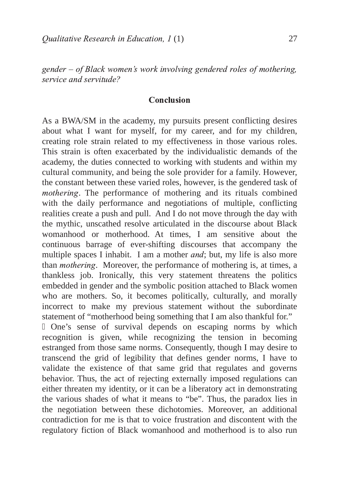gender – of Black women's work involving gendered roles of mothering, service and servitude?

#### Conclusion

As a BWA/SM in the academy, my pursuits present conflicting desires about what I want for myself, for my career, and for my children, creating role strain related to my effectiveness in those various roles. This strain is often exacerbated by the individualistic demands of the academy, the duties connected to working with students and within my cultural community, and being the sole provider for a family. However, the constant between these varied roles, however, is the gendered task of mothering. The performance of mothering and its rituals combined with the daily performance and negotiations of multiple, conflicting realities create a push and pull. And I do not move through the day with the mythic, unscathed resolve articulated in the discourse about Black womanhood or motherhood. At times, I am sensitive about the continuous barrage of ever-shifting discourses that accompany the multiple spaces I inhabit. I am a mother  $and$ ; but, my life is also more than *mothering*. Moreover, the performance of mothering is, at times, a thankless job. Ironically, this very statement threatens the politics embedded in gender and the symbolic position attached to Black women who are mothers. So, it becomes politically, culturally, and morally incorrect to make my previous statement without the subordinate statement of "motherhood being something that I am also thankful for."

One's sense of survival depends on escaping norms by which recognition is given, while recognizing the tension in becoming estranged from those same norms. Consequently, though I may desire to transcend the grid of legibility that defines gender norms, I have to validate the existence of that same grid that regulates and governs behavior. Thus, the act of rejecting externally imposed regulations can either threaten my identity, or it can be a liberatory act in demonstrating the various shades of what it means to "be". Thus, the paradox lies in the negotiation between these dichotomies. Moreover, an additional contradiction for me is that to voice frustration and discontent with the regulatory fiction of Black womanhood and motherhood is to also run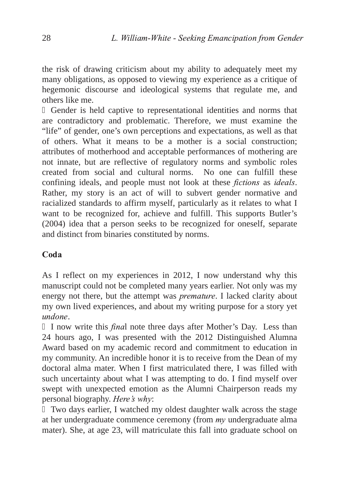the risk of drawing criticism about my ability to adequately meet my many obligations, as opposed to viewing my experience as a critique of hegemonic discourse and ideological systems that regulate me, and others like me.

Gender is held captive to representational identities and norms that are contradictory and problematic. Therefore, we must examine the "life" of gender, one's own perceptions and expectations, as well as that of others. What it means to be a mother is a social construction; attributes of motherhood and acceptable performances of mothering are not innate, but are reflective of regulatory norms and symbolic roles created from social and cultural norms. No one can fulfill these confining ideals, and people must not look at these *fictions* as *ideals*. Rather, my story is an act of will to subvert gender normative and racialized standards to affirm myself, particularly as it relates to what I want to be recognized for, achieve and fulfill. This supports Butler's (2004) idea that a person seeks to be recognized for oneself, separate and distinct from binaries constituted by norms.

#### Coda

As I reflect on my experiences in 2012, I now understand why this manuscript could not be completed many years earlier. Not only was my energy not there, but the attempt was *premature*. I lacked clarity about my own lived experiences, and about my writing purpose for a story yet undone.

I now write this final note three days after Mother's Day. Less than 24 hours ago, I was presented with the 2012 Distinguished Alumna Award based on my academic record and commitment to education in my community. An incredible honor it is to receive from the Dean of my doctoral alma mater. When I first matriculated there, I was filled with such uncertainty about what I was attempting to do. I find myself over swept with unexpected emotion as the Alumni Chairperson reads my personal biography. Here's why:

Two days earlier, I watched my oldest daughter walk across the stage at her undergraduate commence ceremony (from  $my$  undergraduate alma mater). She, at age 23, will matriculate this fall into graduate school on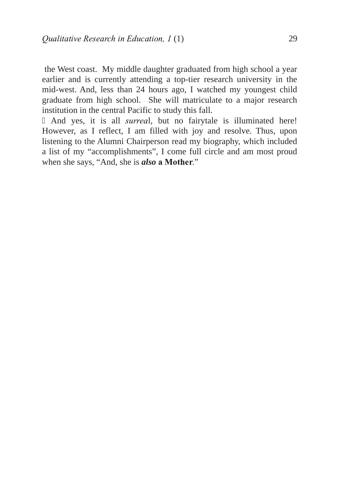the West coast. My middle daughter graduated from high school a year earlier and is currently attending a top-tier research university in the mid-west. And, less than 24 hours ago, I watched my youngest child graduate from high school. She will matriculate to a major research institution in the central Pacific to study this fall.

And yes, it is all *surreal*, but no fairytale is illuminated here! However, as I reflect, I am filled with joy and resolve. Thus, upon listening to the Alumni Chairperson read my biography, which included a list of my "accomplishments", I come full circle and am most proud when she says, "And, she is *also* a Mother."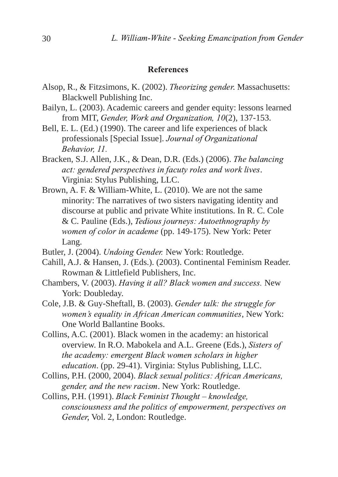#### <span id="page-27-28"></span><span id="page-27-27"></span><span id="page-27-24"></span><span id="page-27-21"></span><span id="page-27-20"></span><span id="page-27-16"></span><span id="page-27-14"></span><span id="page-27-13"></span><span id="page-27-12"></span><span id="page-27-10"></span><span id="page-27-9"></span><span id="page-27-8"></span><span id="page-27-7"></span><span id="page-27-5"></span><span id="page-27-4"></span>References

- <span id="page-27-3"></span><span id="page-27-2"></span><span id="page-27-1"></span>Alsop, R., & Fitzsimons, K. (2002). Theorizing gender. Massachusetts: Blackwell Publishing Inc.
- Bailyn, L. (2003). Academic careers and gender equity: lessons learned from MIT, Gender, Work and Organization,  $10(2)$ , 137-153.
- Bell, E. L. (Ed.) (1990). The career and life experiences of black professionals [Special Issue]. Journal of Organizational Behavior, 11.
- Bracken, S.J. Allen, J.K., & Dean, D.R. (Eds.) (2006). The balancing act: gendered perspectives in facuty roles and work lives. Virginia: Stylus Publishing, LLC.
- <span id="page-27-26"></span>Brown, A. F. & William-White, L. (2010). We are not the same minority: The narratives of two sisters navigating identity and discourse at public and private White institutions. In R. C. Cole & C. Pauline (Eds.), Tedious journeys: Autoethnography by women of color in academe (pp. 149-175). New York: Peter Lang.
- <span id="page-27-25"></span><span id="page-27-22"></span><span id="page-27-19"></span>Butler, J. (2004). *Undoing Gender*. New York: Routledge.
- <span id="page-27-18"></span>Cahill, A.J. & Hansen, J. (Eds.). (2003). Continental Feminism Reader. Rowman & Littlefield Publishers, Inc.
- <span id="page-27-23"></span><span id="page-27-17"></span><span id="page-27-15"></span><span id="page-27-11"></span>Chambers, V. (2003). Having it all? Black women and success. New York: Doubleday.
- <span id="page-27-6"></span>Cole, J.B. & Guy-Sheftall, B. (2003). Gender talk: the struggle for women's equality in African American communities, New York: One World Ballantine Books.
- <span id="page-27-29"></span>Collins, A.C. (2001). Black women in the academy: an historical overview. In R.O. Mabokela and A.L. Greene (Eds.), Sisters of the academy: emergent Black women scholars in higher education. (pp. 29-41). Virginia: Stylus Publishing, LLC.
- Collins, P.H. (2000, 2004). Black sexual politics: African Americans, gender, and the new racism. New York: Routledge.
- <span id="page-27-0"></span>Collins, P.H. (1991). Black Feminist Thought - knowledge, consciousness and the politics of empowerment, perspectives on Gender, Vol. 2, London: Routledge.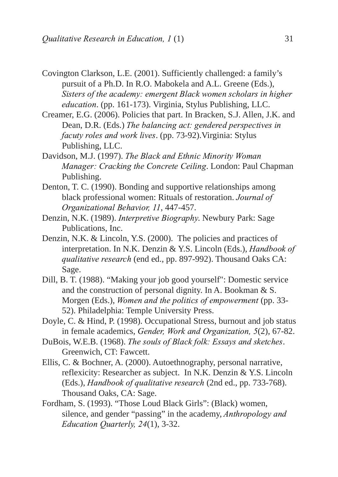- <span id="page-28-4"></span><span id="page-28-3"></span><span id="page-28-0"></span>Covington Clarkson, L.E. (2001). Sufficiently challenged: a family's pursuit of a Ph.D. In R.O. Mabokela and A.L. Greene (Eds.), Sisters of the academy: emergent Black women scholars in higher education. (pp. 161-173). Virginia, Stylus Publishing, LLC.
- Creamer, E.G. (2006). Policies that part. In Bracken, S.J. Allen, J.K. and Dean, D.R. (Eds.) The balancing act: gendered perspectives in facuty roles and work lives. (pp. 73-92). Virginia: Stylus Publishing, LLC.
- <span id="page-28-9"></span><span id="page-28-8"></span><span id="page-28-5"></span>Davidson, M.J. (1997). The Black and Ethnic Minority Woman Manager: Cracking the Concrete Ceiling. London: Paul Chapman Publishing.
- Denton, T. C. (1990). Bonding and supportive relationships among black professional women: Rituals of restoration. Journal of Organizational Behavior, 11, 447-457.
- Denzin, N.K. (1989). *Interpretive Biography*. Newbury Park: Sage Publications, Inc.
- Denzin, N.K. & Lincoln, Y.S. (2000). The policies and practices of interpretation. In N.K. Denzin & Y.S. Lincoln (Eds.),  $Handbook$  of qualitative research (end ed., pp. 897-992). Thousand Oaks CA: Sage.
- <span id="page-28-7"></span><span id="page-28-2"></span>Dill, B. T. (1988). "Making your job good yourself": Domestic service and the construction of personal dignity. In A. Bookman & S. Morgen (Eds.), Women and the politics of empowerment (pp. 33-52). Philadelphia: Temple University Press.
- <span id="page-28-6"></span>Doyle, C. & Hind, P. (1998). Occupational Stress, burnout and job status in female academics, Gender, Work and Organization, 5(2), 67-82.
- DuBois, W.E.B. (1968). The souls of Black folk: Essays and sketches. Greenwich, CT: Fawcett.
- Ellis, C. & Bochner, A. (2000). Autoethnography, personal narrative, reflexicity: Researcher as subject. In N.K. Denzin & Y.S. Lincoln (Eds.), Handbook of qualitative research (2nd ed., pp. 733-768). Thousand Oaks, CA: Sage.
- <span id="page-28-1"></span>Fordham, S. (1993). "Those Loud Black Girls": (Black) women, silence, and gender "passing" in the academy, Anthropology and  $Education$  Quarterly,  $24(1)$ , 3-32.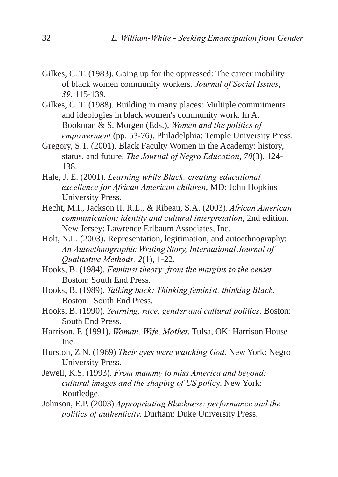- <span id="page-29-17"></span><span id="page-29-11"></span><span id="page-29-7"></span><span id="page-29-1"></span><span id="page-29-0"></span>Gilkes, C. T. (1983). Going up for the oppressed: The career mobility of black women community workers. Journal of Social Issues, 39, 115-139.
- <span id="page-29-16"></span>Gilkes, C. T. (1988). Building in many places: Multiple commitments and ideologies in black women's community work. In A. Bookman & S. Morgen (Eds.), *Women and the politics of* empowerment (pp. 53-76). Philadelphia: Temple University Press.
- Gregory, S.T. (2001). Black Faculty Women in the Academy: history, status, and future. The Journal of Negro Education, 70(3), 124-138.
- <span id="page-29-3"></span><span id="page-29-2"></span>Hale, J. E. (2001). *Learning while Black: creating educational* excellence for African American children, MD: John Hopkins University Press.
- <span id="page-29-10"></span><span id="page-29-8"></span><span id="page-29-6"></span><span id="page-29-4"></span>Hecht, M.I., Jackson II, R.L., & Ribeau, S.A. (2003). African American communication: identity and cultural interpretation, 2nd edition. New Jersey: Lawrence Erlbaum Associates, Inc.
- <span id="page-29-9"></span>Holt, N.L. (2003). Representation, legitimation, and autoethnography: An Autoethnographic Writing Story, International Journal of Qualitative Methods, 2(1), 1-22.
- Hooks, B. (1984). Feminist theory: from the margins to the center. Boston: South End Press.
- <span id="page-29-18"></span>Hooks, B. (1989). Talking back: Thinking feminist, thinking Black. Boston: South End Press.
- <span id="page-29-12"></span>Hooks, B. (1990). *Yearning, race, gender and cultural politics*. Boston: South End Press.
- <span id="page-29-20"></span><span id="page-29-19"></span><span id="page-29-15"></span><span id="page-29-14"></span>Harrison, P. (1991). *Woman, Wife, Mother*. Tulsa, OK: Harrison House Inc.
- <span id="page-29-13"></span>Hurston, Z.N. (1969) Their eyes were watching God. New York: Negro University Press.
- Jewell, K.S. (1993). From mammy to miss America and beyond: cultural images and the shaping of US policy. New York: Routledge.
- <span id="page-29-5"></span>Johnson, E.P. (2003) *Appropriating Blackness: performance and the* politics of authenticity. Durham: Duke University Press.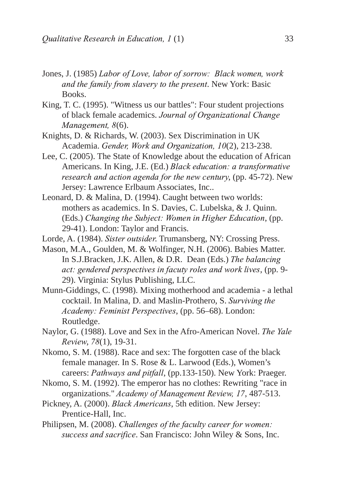- <span id="page-30-20"></span><span id="page-30-18"></span><span id="page-30-16"></span><span id="page-30-15"></span><span id="page-30-4"></span>Jones, J. (1985) Labor of Love, labor of sorrow: Black women, work and the family from slavery to the present. New York: Basic Books.
- King, T. C. (1995). "Witness us our battles": Four student projections of black female academics. Journal of Organizational Change Management, 8(6).
- <span id="page-30-7"></span>Knights, D. & Richards, W. (2003). Sex Discrimination in UK Academia. Gender, Work and Organization, 10(2), 213-238.
- Lee, C. (2005). The State of Knowledge about the education of African Americans. In King, J.E. (Ed.) Black education: a transformative research and action agenda for the new century, (pp. 45-72). New Jersey: Lawrence Erlbaum Associates, Inc..
- <span id="page-30-14"></span><span id="page-30-6"></span><span id="page-30-5"></span>Leonard, D. & Malina, D. (1994). Caught between two worlds: mothers as academics. In S. Davies, C. Lubelska, & J. Quinn. (Eds.) *Changing the Subject: Women in Higher Education*, (pp. 2941). London: Taylor and Francis.
- <span id="page-30-8"></span>Lorde, A. (1984). Sister outsider. Trumansberg, NY: Crossing Press.
- Mason, M.A., Goulden, M. & Wolfinger, N.H. (2006). Babies Matter. In S.J.Bracken, J.K. Allen,  $&$  D.R. Dean (Eds.) The balancing act: gendered perspectives in facuty roles and work lives, (pp. 9-29). Virginia: Stylus Publishing, LLC.
- <span id="page-30-19"></span>Munn-Giddings, C. (1998). Mixing motherhood and academia - a lethal cocktail. In Malina, D. and Maslin-Prothero, S. Surviving the Academy: Feminist Perspectives, (pp. 56–68). London: Routledge.
- <span id="page-30-13"></span><span id="page-30-12"></span>Naylor, G. (1988). Love and Sex in the Afro-American Novel. The Yale Review, 78(1), 19-31.
- <span id="page-30-24"></span>Nkomo, S. M. (1988). Race and sex: The forgotten case of the black female manager. In S. Rose & L. Larwood (Eds.), Women's careers: Pathways and pitfall, (pp.133-150). New York: Praeger.
- <span id="page-30-23"></span><span id="page-30-22"></span><span id="page-30-21"></span><span id="page-30-0"></span>Nkomo, S. M. (1992). The emperor has no clothes: Rewriting "race in organizations." Academy of Management Review, 17, 487-513.
- <span id="page-30-17"></span><span id="page-30-11"></span><span id="page-30-10"></span><span id="page-30-3"></span><span id="page-30-2"></span><span id="page-30-1"></span>Pickney, A. (2000). *Black Americans*, 5th edition. New Jersey: Prentice-Hall, Inc.
- <span id="page-30-9"></span>Philipsen, M. (2008). *Challenges of the faculty career for women:* success and sacrifice. San Francisco: John Wiley & Sons, Inc.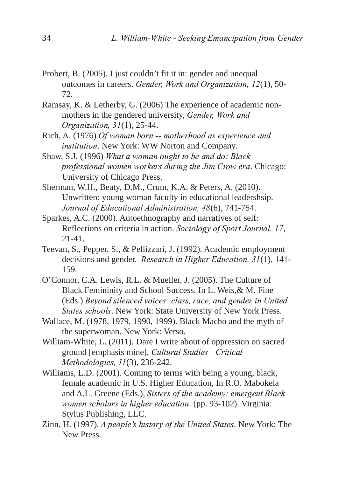- <span id="page-31-19"></span><span id="page-31-16"></span><span id="page-31-12"></span><span id="page-31-11"></span><span id="page-31-9"></span><span id="page-31-8"></span><span id="page-31-7"></span><span id="page-31-3"></span><span id="page-31-2"></span>Probert, B. (2005). I just couldn't fit it in: gender and unequal outcomes in careers. Gender, Work and Organization, 12(1), 50-72.
- Ramsay, K. & Letherby, G. (2006) The experience of academic nonmothers in the gendered university, Gender, Work and Organization, 31(1), 25-44.
- <span id="page-31-18"></span><span id="page-31-5"></span>Rich, A. (1976) Of woman born -- motherhood as experience and institution. New York: WW Norton and Company.
- Shaw, S.J. (1996) What a woman ought to be and do: Black professional women workers during the Jim Crow era. Chicago: University of Chicago Press.
- <span id="page-31-4"></span>Sherman, W.H., Beaty, D.M., Crum, K.A. & Peters, A. (2010). Unwritten: young woman faculty in educational leadershsip. Journal of Educational Administration, 48(6), 741-754.
- Sparkes, A.C. (2000). Autoethnography and narratives of self: Reflections on criteria in action. Sociology of Sport Journal, 17,  $21-41$ .
- Teevan, S., Pepper, S., & Pellizzari, J. (1992). Academic employment decisions and gender. Research in Higher Education, 31(1), 141-159.
- <span id="page-31-10"></span><span id="page-31-6"></span>O'Connor, C.A. Lewis, R.L. & Mueller, J. (2005). The Culture of Black Femininity and School Success. In L. Weis,& M. Fine (Eds.) Beyond silenced voices: class, race, and gender in United States schools. New York: State University of New York Press.
- <span id="page-31-17"></span>Wallace, M. (1978, 1979, 1990, 1999). Black Macho and the myth of the superwoman. New York: Verso.
- William-White, L. (2011). Dare I write about of oppression on sacred ground [emphasis mine], *Cultural Studies - Critical* Methodologies, 11(3), 236-242.
- <span id="page-31-15"></span><span id="page-31-14"></span><span id="page-31-13"></span>Williams, L.D. (2001). Coming to terms with being a young, black, female academic in U.S. Higher Education, In R.O. Mabokela and A.L. Greene (Eds.), Sisters of the academy: emergent Black women scholars in higher education. (pp. 93-102). Virginia: Stylus Publishing, LLC.
- <span id="page-31-1"></span><span id="page-31-0"></span>Zinn, H. (1997). A people's history of the United States. New York: The New Press.